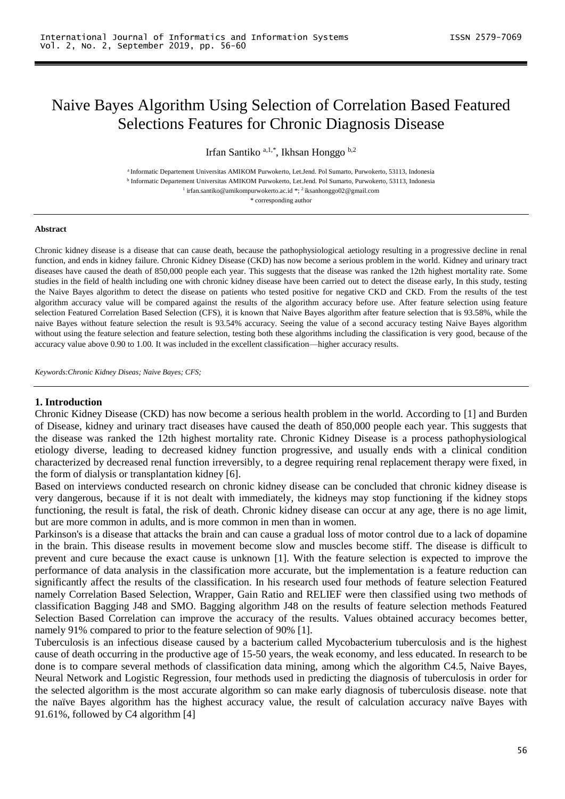# Naive Bayes Algorithm Using Selection of Correlation Based Featured Selections Features for Chronic Diagnosis Disease

Irfan Santiko a,1,\* , Ikhsan Honggo b,2

<sup>a</sup> Informatic Departement Universitas AMIKOM Purwokerto, Let.Jend. Pol Sumarto, Purwokerto, 53113, Indonesia b Informatic Departement Universitas AMIKOM Purwokerto, Let.Jend. Pol Sumarto, Purwokerto, 53113, Indonesia <sup>1</sup> irfan.santiko@amikompurwokerto.ac.id \*; <sup>2</sup> [iksanhonggo02@gmail.com](mailto:iksanhonggo02@gmail.com)

\* corresponding author

#### **Abstract**

Chronic kidney disease is a disease that can cause death, because the pathophysiological aetiology resulting in a progressive decline in renal function, and ends in kidney failure. Chronic Kidney Disease (CKD) has now become a serious problem in the world. Kidney and urinary tract diseases have caused the death of 850,000 people each year. This suggests that the disease was ranked the 12th highest mortality rate. Some studies in the field of health including one with chronic kidney disease have been carried out to detect the disease early, In this study, testing the Naive Bayes algorithm to detect the disease on patients who tested positive for negative CKD and CKD. From the results of the test algorithm accuracy value will be compared against the results of the algorithm accuracy before use. After feature selection using feature selection Featured Correlation Based Selection (CFS), it is known that Naive Bayes algorithm after feature selection that is 93.58%, while the naive Bayes without feature selection the result is 93.54% accuracy. Seeing the value of a second accuracy testing Naive Bayes algorithm without using the feature selection and feature selection, testing both these algorithms including the classification is very good, because of the accuracy value above 0.90 to 1.00. It was included in the excellent classification—higher accuracy results.

*Keywords:Chronic Kidney Diseas; Naive Bayes; CFS;*

#### **1. Introduction**

Chronic Kidney Disease (CKD) has now become a serious health problem in the world. According to [1] and Burden of Disease, kidney and urinary tract diseases have caused the death of 850,000 people each year. This suggests that the disease was ranked the 12th highest mortality rate. Chronic Kidney Disease is a process pathophysiological etiology diverse, leading to decreased kidney function progressive, and usually ends with a clinical condition characterized by decreased renal function irreversibly, to a degree requiring renal replacement therapy were fixed, in the form of dialysis or transplantation kidney [6].

Based on interviews conducted research on chronic kidney disease can be concluded that chronic kidney disease is very dangerous, because if it is not dealt with immediately, the kidneys may stop functioning if the kidney stops functioning, the result is fatal, the risk of death. Chronic kidney disease can occur at any age, there is no age limit, but are more common in adults, and is more common in men than in women.

Parkinson's is a disease that attacks the brain and can cause a gradual loss of motor control due to a lack of dopamine in the brain. This disease results in movement become slow and muscles become stiff. The disease is difficult to prevent and cure because the exact cause is unknown [1]. With the feature selection is expected to improve the performance of data analysis in the classification more accurate, but the implementation is a feature reduction can significantly affect the results of the classification. In his research used four methods of feature selection Featured namely Correlation Based Selection, Wrapper, Gain Ratio and RELIEF were then classified using two methods of classification Bagging J48 and SMO. Bagging algorithm J48 on the results of feature selection methods Featured Selection Based Correlation can improve the accuracy of the results. Values obtained accuracy becomes better, namely 91% compared to prior to the feature selection of 90% [1].

Tuberculosis is an infectious disease caused by a bacterium called Mycobacterium tuberculosis and is the highest cause of death occurring in the productive age of 15-50 years, the weak economy, and less educated. In research to be done is to compare several methods of classification data mining, among which the algorithm C4.5, Naive Bayes, Neural Network and Logistic Regression, four methods used in predicting the diagnosis of tuberculosis in order for the selected algorithm is the most accurate algorithm so can make early diagnosis of tuberculosis disease. note that the naïve Bayes algorithm has the highest accuracy value, the result of calculation accuracy naïve Bayes with 91.61%, followed by C4 algorithm [4]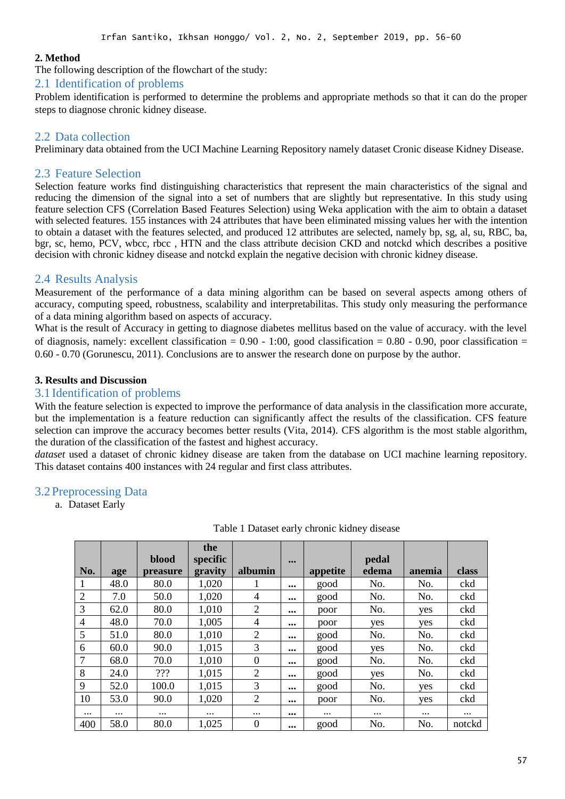#### **2. Method**

The following description of the flowchart of the study:

#### 2.1 Identification of problems

Problem identification is performed to determine the problems and appropriate methods so that it can do the proper steps to diagnose chronic kidney disease.

#### 2.2 Data collection

Preliminary data obtained from the UCI Machine Learning Repository namely dataset Cronic disease Kidney Disease.

#### 2.3 Feature Selection

Selection feature works find distinguishing characteristics that represent the main characteristics of the signal and reducing the dimension of the signal into a set of numbers that are slightly but representative. In this study using feature selection CFS (Correlation Based Features Selection) using Weka application with the aim to obtain a dataset with selected features. 155 instances with 24 attributes that have been eliminated missing values her with the intention to obtain a dataset with the features selected, and produced 12 attributes are selected, namely bp, sg, al, su, RBC, ba, bgr, sc, hemo, PCV, wbcc, rbcc , HTN and the class attribute decision CKD and notckd which describes a positive decision with chronic kidney disease and notckd explain the negative decision with chronic kidney disease.

#### 2.4 Results Analysis

Measurement of the performance of a data mining algorithm can be based on several aspects among others of accuracy, computing speed, robustness, scalability and interpretabilitas. This study only measuring the performance of a data mining algorithm based on aspects of accuracy.

What is the result of Accuracy in getting to diagnose diabetes mellitus based on the value of accuracy, with the level of diagnosis, namely: excellent classification =  $0.90 - 1:00$ , good classification =  $0.80 - 0.90$ , poor classification = 0.60 - 0.70 (Gorunescu, 2011). Conclusions are to answer the research done on purpose by the author.

#### **3. Results and Discussion**

#### 3.1 Identification of problems

With the feature selection is expected to improve the performance of data analysis in the classification more accurate, but the implementation is a feature reduction can significantly affect the results of the classification. CFS feature selection can improve the accuracy becomes better results (Vita, 2014). CFS algorithm is the most stable algorithm, the duration of the classification of the fastest and highest accuracy.

*dataset* used a dataset of chronic kidney disease are taken from the database on UCI machine learning repository. This dataset contains 400 instances with 24 regular and first class attributes.

#### 3.2 Preprocessing Data

a. Dataset Early

|                |          |          | the      |                |                         |          |          |          |          |
|----------------|----------|----------|----------|----------------|-------------------------|----------|----------|----------|----------|
|                |          | blood    | specific |                | $\bullet\bullet\bullet$ |          | pedal    |          |          |
| No.            | age      | preasure | gravity  | albumin        |                         | appetite | edema    | anemia   | class    |
| $\mathbf{1}$   | 48.0     | 80.0     | 1,020    |                | $\cdots$                | good     | No.      | No.      | ckd      |
| 2              | 7.0      | 50.0     | 1,020    | 4              | $\cdots$                | good     | No.      | No.      | ckd      |
| 3              | 62.0     | 80.0     | 1,010    | $\overline{2}$ | $\cdots$                | poor     | No.      | yes      | ckd      |
| $\overline{4}$ | 48.0     | 70.0     | 1,005    | 4              | $\cdots$                | poor     | yes      | yes      | ckd      |
| 5              | 51.0     | 80.0     | 1,010    | $\overline{2}$ | $\cdots$                | good     | No.      | No.      | ckd      |
| 6              | 60.0     | 90.0     | 1,015    | 3              | $\cdots$                | good     | yes      | No.      | ckd      |
| $\overline{7}$ | 68.0     | 70.0     | 1,010    | $\theta$       | $\cdots$                | good     | No.      | No.      | ckd      |
| 8              | 24.0     | 222      | 1,015    | 2              |                         | good     | yes      | No.      | ckd      |
| 9              | 52.0     | 100.0    | 1,015    | 3              | $\cdots$                | good     | No.      | yes      | ckd      |
| 10             | 53.0     | 90.0     | 1,020    | $\overline{2}$ | $\cdots$                | poor     | No.      | yes      | ckd      |
| $\cdots$       | $\cdots$ | $\cdots$ | $\cdots$ | $\cdots$       |                         | $\cdots$ | $\cdots$ | $\cdots$ | $\cdots$ |
| 400            | 58.0     | 80.0     | 1,025    | $\Omega$       | $\cdots$                | good     | No.      | No.      | notckd   |

Table 1 Dataset early chronic kidney disease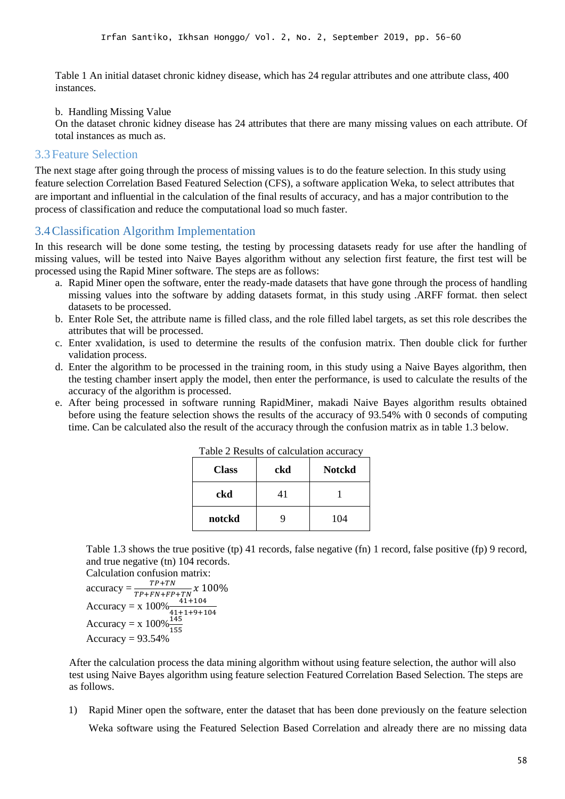Table 1 An initial dataset chronic kidney disease, which has 24 regular attributes and one attribute class, 400 instances.

b. Handling Missing Value

On the dataset chronic kidney disease has 24 attributes that there are many missing values on each attribute. Of total instances as much as.

#### 3.3 Feature Selection

The next stage after going through the process of missing values is to do the feature selection. In this study using feature selection Correlation Based Featured Selection (CFS), a software application Weka, to select attributes that are important and influential in the calculation of the final results of accuracy, and has a major contribution to the process of classification and reduce the computational load so much faster.

### 3.4Classification Algorithm Implementation

In this research will be done some testing, the testing by processing datasets ready for use after the handling of missing values, will be tested into Naive Bayes algorithm without any selection first feature, the first test will be processed using the Rapid Miner software. The steps are as follows:

- a. Rapid Miner open the software, enter the ready-made datasets that have gone through the process of handling missing values into the software by adding datasets format, in this study using .ARFF format. then select datasets to be processed.
- b. Enter Role Set, the attribute name is filled class, and the role filled label targets, as set this role describes the attributes that will be processed.
- c. Enter xvalidation, is used to determine the results of the confusion matrix. Then double click for further validation process.
- d. Enter the algorithm to be processed in the training room, in this study using a Naive Bayes algorithm, then the testing chamber insert apply the model, then enter the performance, is used to calculate the results of the accuracy of the algorithm is processed.
- e. After being processed in software running RapidMiner, makadi Naive Bayes algorithm results obtained before using the feature selection shows the results of the accuracy of 93.54% with 0 seconds of computing time. Can be calculated also the result of the accuracy through the confusion matrix as in table 1.3 below.

| <b>Class</b> | ckd | <b>Notckd</b> |
|--------------|-----|---------------|
| ckd          | 41  |               |
| notckd       | q   | 104           |

Table 2 Results of calculation accuracy

Table 1.3 shows the true positive (tp) 41 records, false negative (fn) 1 record, false positive (fp) 9 record, and true negative (tn) 104 records.

```
Calculation confusion matrix:
accuracy = \frac{TP + TN}{TP + FN + FP}\frac{11+11N}{TP+FN+FP+TN} x 100\%Accuracy = x 100\% \frac{41+104}{41+1+9+104}<br>Accuracy = x 100\% \frac{145}{155}Accuracy = 93.54\%
```
After the calculation process the data mining algorithm without using feature selection, the author will also test using Naive Bayes algorithm using feature selection Featured Correlation Based Selection. The steps are as follows.

1) Rapid Miner open the software, enter the dataset that has been done previously on the feature selection Weka software using the Featured Selection Based Correlation and already there are no missing data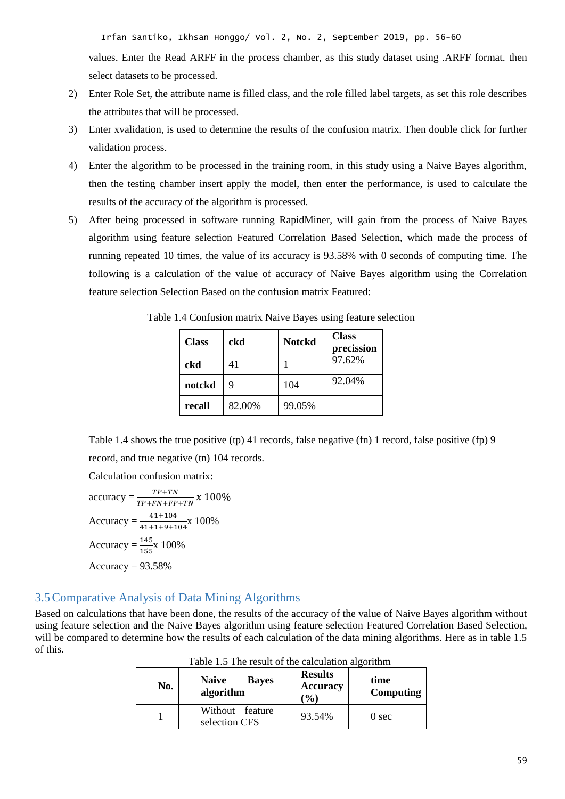Irfan Santiko, Ikhsan Honggo/ Vol. 2, No. 2, September 2019, pp. 56-60

values. Enter the Read ARFF in the process chamber, as this study dataset using .ARFF format. then select datasets to be processed.

- 2) Enter Role Set, the attribute name is filled class, and the role filled label targets, as set this role describes the attributes that will be processed.
- 3) Enter xvalidation, is used to determine the results of the confusion matrix. Then double click for further validation process.
- 4) Enter the algorithm to be processed in the training room, in this study using a Naive Bayes algorithm, then the testing chamber insert apply the model, then enter the performance, is used to calculate the results of the accuracy of the algorithm is processed.
- 5) After being processed in software running RapidMiner, will gain from the process of Naive Bayes algorithm using feature selection Featured Correlation Based Selection, which made the process of running repeated 10 times, the value of its accuracy is 93.58% with 0 seconds of computing time. The following is a calculation of the value of accuracy of Naive Bayes algorithm using the Correlation feature selection Selection Based on the confusion matrix Featured:

| <b>Class</b> | ckd    | <b>Notckd</b> | <b>Class</b><br>precission |
|--------------|--------|---------------|----------------------------|
| ckd          | 41     |               | 97.62%                     |
| notckd       | 9      | 104           | 92.04%                     |
| recall       | 82.00% | 99.05%        |                            |

Table 1.4 Confusion matrix Naive Bayes using feature selection

Table 1.4 shows the true positive (tp) 41 records, false negative (fn) 1 record, false positive (fp) 9 record, and true negative (tn) 104 records.

Calculation confusion matrix:

accuracy = 
$$
\frac{TP+TN}{TP+FN+FP+TN} x 100\%
$$
  
Accuracy = 
$$
\frac{41+104}{41+1+9+104} x 100\%
$$
  
Accuracy = 
$$
\frac{145}{155} x 100\%
$$
  
Accuracy = 93.58%

## 3.5Comparative Analysis of Data Mining Algorithms

Based on calculations that have been done, the results of the accuracy of the value of Naive Bayes algorithm without using feature selection and the Naive Bayes algorithm using feature selection Featured Correlation Based Selection, will be compared to determine how the results of each calculation of the data mining algorithms. Here as in table 1.5 of this.

| No. | <b>Naive</b><br><b>Bayes</b><br>algorithm | <b>Results</b><br><b>Accuracy</b><br>$\mathcal{O}(6)$ | time<br>Computing |
|-----|-------------------------------------------|-------------------------------------------------------|-------------------|
|     | Without feature<br>selection CFS          | 93.54%                                                | 0 <sub>sec</sub>  |

| Table 1.5 The result of the calculation algorithm |  |  |  |  |
|---------------------------------------------------|--|--|--|--|
|---------------------------------------------------|--|--|--|--|